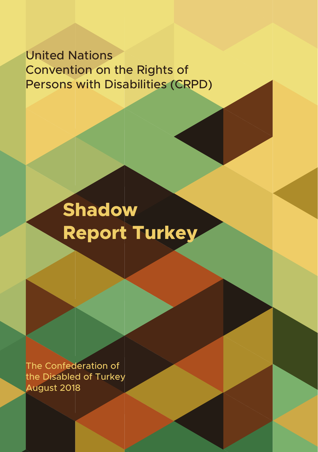### United Nations Convention on the Rights of Persons with Disabilities (CRPD)

## **Shadow Report Turkey**

The Confederation of the Disabled of Turkey August 2018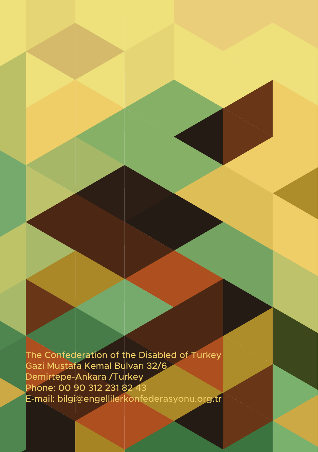The Confederation of the Disabled of Turkey Gazi Mustafa Kemal Bulvarı 32/6 Demirtepe-Ankara /Turkey Phone: 00 90 312 231 82 43 E-mail: bilgi@engellilerkonfederasyonu.org.tr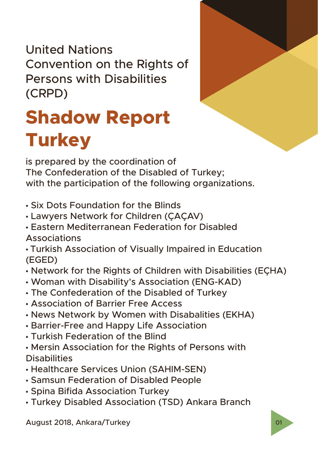United Nations Convention on the Rights of Persons with Disabilities (CRPD)

# **Shadow Report Turkey**

is prepared by the coordination of The Confederation of the Disabled of Turkey; with the participation of the following organizations.

- Six Dots Foundation for the Blinds
- Lawyers Network for Children (ÇAÇAV)
- Eastern Mediterranean Federation for Disabled Associations
- Turkish Association of Visually Impaired in Education (EGED)
- Network for the Rights of Children with Disabilities (EÇHA)
- Woman with Disability's Association (ENG-KAD)
- The Confederation of the Disabled of Turkey
- Association of Barrier Free Access
- News Network by Women with Disabalities (EKHA)
- Barrier-Free and Happy Life Association
- Turkish Federation of the Blind
- Mersin Association for the Rights of Persons with **Disabilities**
- Healthcare Services Union (SAHIM-SEN)
- Samsun Federation of Disabled People
- Spina Bifida Association Turkey
- Turkey Disabled Association (TSD) Ankara Branch

August 2018, Ankara/Turkey 01 and 01 and 01 and 01 and 01 and 01 and 01 and 01 and 01 and 01 and 01 and 01 and 01 and 01 and 01 and 01 and 01 and 01 and 01 and 01 and 01 and 01 and 01 and 01 and 01 and 01 and 01 and 01 and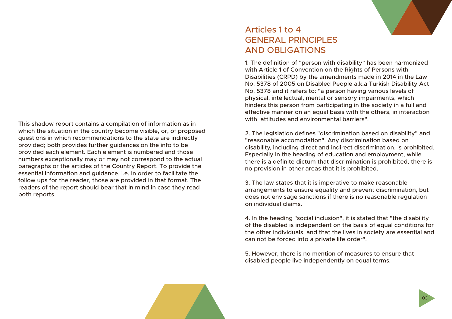This shadow report contains a compilation of information as in which the situation in the country become visible, or, of proposed questions in which recommendations to the state are indirectly provided; both provides further guidances on the info to be provided each element. Each element is numbered and those numbers exceptionally may or may not correspond to the actual paragraphs or the articles of the Country Report. To provide the essential information and guidance, i.e. in order to facilitate the follow ups for the reader, those are provided in that format. The readers of the report should bear that in mind in case they read both reports.

## Articles 1 to 4 **GENERAL PRINCIPLES** AND OBLIGATIONS

1. The definition of "person with disability" has been harmonized with Article 1 of Convention on the Rights of Persons with Disabilities (CRPD) by the amendments made in 2014 in the Law No. 5378 of 2005 on Disabled People a.k.a Turkish Disability Act No. 5378 and it refers to: "a person having various levels of physical, intellectual, mental or sensory impairments, which hinders this person from participating in the society in a full and effective manner on an equal basis with the others, in interaction with attitudes and environmental barriers".

2. The legislation defines "discrimination based on disability" and "reasonable accomodation". Any discrimination based on disability, including direct and indirect discrimination, is prohibited. Especially in the heading of education and employment, while there is a definite dictum that discrimination is prohibited, there is no provision in other areas that it is prohibited.

3. The law states that it is imperative to make reasonable arrangements to ensure equality and prevent discrimination, but does not envisage sanctions if there is no reasonable regulation on individual claims.

4. In the heading "social inclusion", it is stated that "the disability of the disabled is independent on the basis of equal conditions for the other individuals, and that the lives in society are essential and can not be forced into a private life order".

5. However, there is no mention of measures to ensure that disabled people live independently on equal terms.



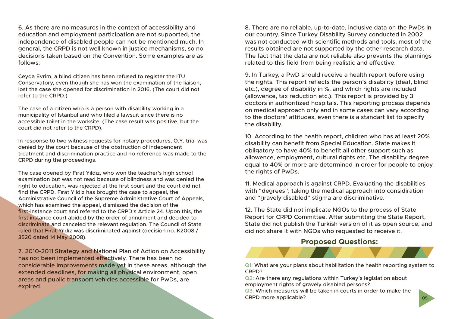6. As there are no measures in the context of accessibility and education and employment participation are not supported, the independence of disabled people can not be mentioned much. In general, the CRPD is not well known in justice mechanisms, so no decisions taken based on the Convention. Some examples are as follows:

Ceyda Evrim, a blind citizen has been refused to register the ITU Conservatory, even though she has won the examination of the liaison, lost the case she opened for discrimination in 2016. (The court did not refer to the CRPD.)

The case of a citizen who is a person with disability working in a municipality of Istanbul and who filed a lawsuit since there is no accessible toilet in the worksite. (The case result was positive, but the court did not refer to the CRPD).

In response to two witness requests for notary procedures, O.Y. trial was denied by the court because of the obstruction of independent treatment and discrimination practice and no reference was made to the CRPD during the proceedings.

The case opened by Fırat Yıldız, who won the teacher's high school examination but was not read because of blindness and was denied the right to education, was rejected at the first court and the court did not find the CRPD. Fırat Yıldız has brought the case to appeal, the Administrative Council of the Supreme Administrative Court of Appeals, which has examined the appeal, dismissed the decision of the first-instance court and refered to the CRPD's Article 24. Upon this, the first instance court abided by the order of annulment and decided to discriminate and canceled the relevant regulation. The Council of State ruled that Fırat Yıldız was discriminated against (decision no. K2008 / 3520 dated 14 May 2008).

7. 2010-2011 Strategy and National Plan of Action on Accessibility has not been implemented effectively. There has been no considerable improvements made yet in these areas, although the extended deadlines, for making all physical environment, open areas and public transport vehicles accessible for PwDs, are expired.

8. There are no reliable, up-to-date, inclusive data on the PwDs in our country. Since Turkey Disability Survey conducted in 2002 was not conducted with scientific methods and tools, most of the results obtained are not supported by the other research data. The fact that the data are not reliable also prevents the plannings related to this field from being realistic and effective.

9. In Turkey, a PwD should receive a health report before using the rights. This report reflects the person's disability (deaf, blind etc.), degree of disability in %, and which rights are included (allowence, tax reduction etc.). This report is provided by 3 doctors in authoritized hospitals. This reporting process depends on medical approach only and in some cases can vary according to the doctors' attitudes, even there is a standart list to specify the disability.

10. According to the health report, children who has at least 20% disability can benefit from Special Education. State makes it obligatory to have 40% to benefit all other support such as allowence, employment, cultural rights etc. The disability degree equal to 40% or more are determined in order for people to enjoy the rights of PwDs.

11. Medical approach is against CRPD. Evaluating the disabilities with "degrees", taking the medical approach into considiration and "gravely disabled" stigma are discriminative.

12. The State did not implicate NGOs to the process of State Report for CRPD Committee. After submitting the State Report, State did not publish the Turkish version of it as open source, and did not share it with NGOs who requested to receive it.

#### **Proposed Questions:**



Q1: What are your plans about habilitation the health reporting system to CRPD?

Q2: Are there any regulations within Turkey's legislation about employment rights of gravely disabled persons?

Q3: Which measures will be taken in courts in order to make the CRPD more applicable?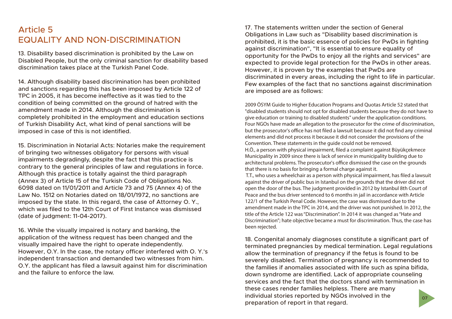### Article 5 EQUALITY AND NON-DISCRIMINATION

13. Disability based discrimination is prohibited by the Law on Disabled People, but the only criminal sanction for disability based discrimination takes place at the Turkish Panel Code.

14. Although disability based discrimination has been prohibited and sanctions regarding this has been imposed by Article 122 of TPC in 2005, it has become ineffective as it was tied to the condition of being committed on the ground of hatred with the amendment made in 2014. Although the discrimination is completely prohibited in the employment and education sections of Turkish Disability Act, what kind of penal sanctions will be imposed in case of this is not identified.

15. Discrimination in Notarial Acts: Notaries make the requirement of bringing two witnesses obligatory for persons with visual impairments degradingly, despite the fact that this practice is contrary to the general principles of law and regulations in force. Although this practice is totally against the third paragraph (Annex 3) of Article 15 of the Turkish Code of Obligations No. 6098 dated on 11/01/2011 and Article 73 and 75 (Annex 4) of the Law No. 1512 on Notaries dated on 18/01/1972, no sanctions are imposed by the state. In this regard, the case of Attorney O. Y., which was filed to the 12th Court of First Instance was dismissed (date of judgment: 11-04-2017).

16. While the visually impaired is notary and banking, the application of the witness request has been changed and the visually impaired have the right to operate independently. However, O.Y. In the case, the notary officer interfered with O. Y.'s independent transaction and demanded two witnesses from him. O.Y. the applicant has filed a lawsuit against him for discrimination and the failure to enforce the law.

17. The statements written under the section of General Obligations in Law such as "Disability based discrimination is prohibited, it is the basic essence of policies for PwDs in fighting against discrimination", "It is essential to ensure equality of opportunity for the PwDs to enjoy all the rights and services" are expected to provide legal protection for the PwDs in other areas. However, it is proven by the examples that PwDs are discriminated in every areas, including the right to life in particular. Few examples of the fact that no sanctions against discrimination are imposed are as follows:

2009 ÖSYM Guide to Higher Education Programs and Quotas Article 52 stated that "disabled students should not opt for disabled students because they do not have to give education or training to disabled students" under the application conditions. Four NGOs have made an allegation to the prosecutor for the crime of discrimination, but the prosecutor's office has not filed a lawsuit because it did not find any criminal elements and did not process it because it did not consider the provisions of the Convention. These statements in the guide could not be removed.

H.Ö., a person with physical impairment, filed a complaint against Büyükçekmece Municipality in 2009 since there is lack of service in municipality building due to architectural problems. The prosecutor's office dismissed the case on the grounds that there is no basis for bringing a formal charge against it.

 T.T., who uses a wheelchair as a person with physical impairment, has filed a lawsuit against the driver of public bus in Istanbul on the grounds that the driver did not open the door of the bus. The judgment provided in 2012 by Istanbul 8th Court of Peace and the bus driver sentenced to 6 months in jail in accordance with Article 122/1 of the Turkish Penal Code. However, the case was dismissed due to the amendment made in the TPC in 2014, and the driver was not punished. In 2012, the title of the Article 122 was "Discrimination". In 2014 it was changed as "Hate and Discrimination"; hate objective became a must for discrimination. Thus, the case has been rejected.

18. Congenital anomaly diagnoses constitute a significant part of terminated pregnancies by medical termination. Legal regulations allow the termination of pregnancy if the fetus is found to be severely disabled. Termination of pregnancy is recommended to the families if anomalies associated with life such as spina bifida, down syndrome are identified. Lack of appropriate counseling services and the fact that the doctors stand with termination in these cases render families helpless. There are many individual stories reported by NGOs involved in the preparation of report in that regard. 07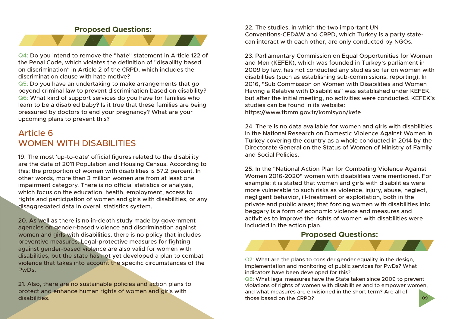#### **Proposed Questions:**



Q4: Do you intend to remove the "hate" statement in Article 122 of the Penal Code, which violates the definition of "disability based on discrimination" in Article 2 of the CRPD, which includes the discrimination clause with hate motive?

Q5: Do you have an undertaking to make arrangements that go beyond criminal law to prevent discrimination based on disability? Q6: What kind of support services do you have for families who learn to be a disabled baby? Is it true that these families are being pressured by doctors to end your pregnancy? What are your upcoming plans to prevent this?

### Article 6 WOMEN WITH DISABILITIES

19. The most 'up-to-date' official figures related to the disability are the data of 2011 Population and Housing Census. According to this; the proportion of women with disabilities is 57.2 percent. In other words, more than 3 million women are from at least one impairment category. There is no official statistics or analysis, which focus on the education, health, employment, access to rights and participation of women and girls with disabilities, or any disaggregated data in overall statistics system.

20. As well as there is no in-depth study made by government agencies on gender-based violence and discrimination against women and girls with disabilities, there is no policy that includes preventive measures. Legal-protective measures for fighting against gender-based violence are also valid for women with disabilities, but the state has not yet developed a plan to combat violence that takes into account the specific circumstances of the PwDs.

21. Also, there are no sustainable policies and action plans to protect and enhance human rights of women and girls with disabilities.

22. The studies, in which the two important UN Conventions-CEDAW and CRPD, which Turkey is a party statecan interact with each other, are only conducted by NGOs.

23. Parliamentary Commission on Equal Opportunities for Women and Men (KEFEK), which was founded in Turkey's parliament in 2009 by law, has not conducted any studies so far on women with disabilities (such as establishing sub-commissions, reporting). In 2016, "Sub Commission on Women with Disabilities and Women Having a Relative with Disabilities" was established under KEFEK, but after the initial meeting, no activities were conducted. KEFEK's studies can be found in its website: https://www.tbmm.gov.tr/komisyon/kefe

24. There is no data available for women and girls with disabilities in the National Research on Domestic Violence Against Women in Turkey covering the country as a whole conducted in 2014 by the Directorate General on the Status of Women of Ministry of Family and Social Policies.

25. In the "National Action Plan for Combating Violence Against Women 2016-2020" women with disabilities were mentioned. For example; it is stated that women and girls with disabilities were more vulnerable to such risks as violence, injury, abuse, neglect, negligent behavior, ill-treatment or exploitation, both in the private and public areas; that forcing women with disabilities into beggary is a form of economic violence and measures and activities to improve the rights of women with disabilities were included in the action plan.

#### **Proposed Questions:**

Q7: What are the plans to consider gender equality in the design, implementation and monitoring of public services for PwDs? What indicators have been developed for this?

Q8: What legal measures have the State taken since 2009 to prevent violations of rights of women with disabilities and to empower women, and what measures are envisioned in the short term? Are all of those based on the CRPD? 09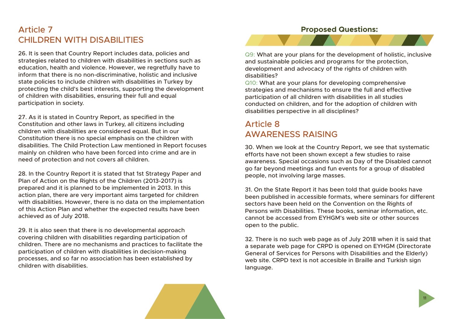### Article 7 CHILDREN WITH DISABILITIES

26. It is seen that Country Report includes data, policies and strategies related to children with disabilities in sections such as education, health and violence. However, we regretfully have to inform that there is no non-discriminative, holistic and inclusive state policies to include children with disabilities in Turkey by protecting the child's best interests, supporting the development of children with disabilities, ensuring their full and equal participation in society.

27. As it is stated in Country Report, as specified in the Constitution and other laws in Turkey, all citizens including children with disabilities are considered equal. But in our Constitution there is no special emphasis on the children with disabilities. The Child Protection Law mentioned in Report focuses mainly on children who have been forced into crime and are in need of protection and not covers all children.

28. In the Country Report it is stated that 1st Strategy Paper and Plan of Action on the Rights of the Children (2013-2017) is prepared and it is planned to be implemented in 2013. In this action plan, there are very important aims targeted for children with disabilities. However, there is no data on the implementation of this Action Plan and whether the expected results have been achieved as of July 2018.

29. It is also seen that there is no developmental approach covering children with disabilities regarding participation of children. There are no mechanisms and practices to facilitate the participation of children with disabilities in decision-making processes, and so far no association has been established by children with disabilities.

#### **Proposed Questions:**



Q9: What are your plans for the development of holistic, inclusive and sustainable policies and programs for the protection, development and advocacy of the rights of children with disabilities?

Q10: What are your plans for developing comprehensive strategies and mechanisms to ensure the full and effective participation of all children with disabilities in all studies conducted on children, and for the adoption of children with disabilities perspective in all disciplines?

### Article 8 AWARENESS RAISING

30. When we look at the Country Report, we see that systematic efforts have not been shown except a few studies to raise awareness. Special occasions such as Day of the Disabled cannot go far beyond meetings and fun events for a group of disabled people, not involving large masses.

31. On the State Report it has been told that guide books have been published in accessible formats, where seminars for different sectors have been held on the Convention on the Rights of Persons with Disabilities. These books, seminar information, etc. cannot be accessed from EYHGM's web site or other sources open to the public.

32. There is no such web page as of July 2018 when it is said that a separate web page for CRPD is opened on EYHGM (Directorate General of Services for Persons with Disabilities and the Elderly) web site. CRPD text is not accesible in Braille and Turkish sign language.

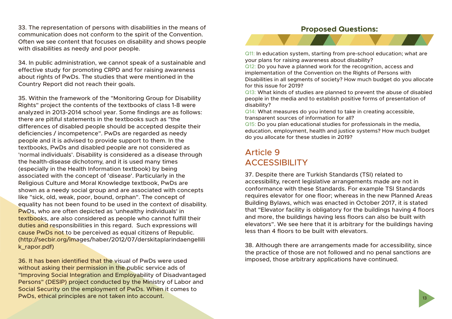33. The representation of persons with disabilities in the means of communication does not conform to the spirit of the Convention. Often we see content that focuses on disability and shows people with disabilities as needy and poor people.

34. In public administration, we cannot speak of a sustainable and effective study for promoting CRPD and for raising awareness about rights of PwDs. The studies that were mentioned in the Country Report did not reach their goals.

35. Within the framework of the "Monitoring Group for Disability Rights" project the contents of the textbooks of class 1-8 were analyzed in 2013-2014 school year. Some findings are as follows: there are pitiful statements in the textbooks such as "the differences of disabled people should be accepted despite their deficiencies / incompetence". PwDs are regarded as needy people and it is advised to provide support to them. In the textbooks, PwDs and disabled people are not considered as 'normal individuals'. Disability is considered as a disease through the health-disease dichotomy, and it is used many times (especially in the Health Information textbook) by being associated with the concept of 'disease'. Particularly in the Religious Culture and Moral Knowledge textbook, PwDs are shown as a needy social group and are associated with concepts like "sick, old, weak, poor, bound, orphan". The concept of equality has not been found to be used in the context of disability. PwDs, who are often depicted as 'unhealthy individuals' in textbooks, are also considered as people who cannot fulfill their duties and responsibilities in this regard. Such expressions will cause PwDs not to be perceived as equal citizens of Republic. (http://secbir.org/images/haber/2012/07/derskitaplarindaengellili k\_rapor.pdf)

36. It has been identified that the visual of PwDs were used without asking their permission in the public service ads of "Improving Social Integration and Employability of Disadvantaged Persons" (DESIP) project conducted by the Ministry of Labor and Social Security on the employment of PwDs. When it comes to PwDs, ethical principles are not taken into account.

#### **Proposed Questions:**



Q11: In education system, starting from pre-school education; what are your plans for raising awareness about disability?

Q12: Do you have a planned work for the recognition, access and implementation of the Convention on the Rights of Persons with Disabilities in all segments of society? How much budget do you allocate for this issue for 2019?

Q13: What kinds of studies are planned to prevent the abuse of disabled people in the media and to establish positive forms of presentation of disability?

Q14: What measures do you intend to take in creating accessible, transparent sources of information for all?

Q15: Do you plan educational studies for professionals in the media, education, employment, health and justice systems? How much budget do you allocate for these studies in 2019?

### Article 9 ACCESSIBILITY

37. Despite there are Turkish Standards (TSI) related to accessibility, recent legislative arrangements made are not in conformance with these Standards. For example TSI Standards requires elevator for one floor; whereas in the new Planned Areas Building Bylaws, which was enacted in October 2017, it is stated that "Elevator facility is obligatory for the buildings having 4 floors and more, the buildings having less floors can also be built with elevators". We see here that it is arbitrary for the buildings having less than 4 floors to be built with elevators.

38. Although there are arrangements made for accessibility, since the practice of those are not followed and no penal sanctions are imposed, those arbitrary applications have continued.

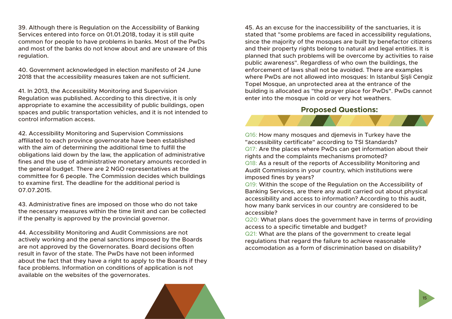39. Although there is Regulation on the Accessibility of Banking Services entered into force on 01.01.2018, today it is still quite common for people to have problems in banks. Most of the PwDs and most of the banks do not know about and are unaware of this regulation.

40. Government acknowledged in election manifesto of 24 June 2018 that the accessibility measures taken are not sufficient.

41. In 2013, the Accessibility Monitoring and Supervision Regulation was published. According to this directive, it is only appropriate to examine the accessibility of public buildings, open spaces and public transportation vehicles, and it is not intended to control information access.

42. Accessibility Monitoring and Supervision Commissions affiliated to each province governorate have been established with the aim of determining the additional time to fulfill the obligations laid down by the law, the application of administrative fines and the use of administrative monetary amounts recorded in the general budget. There are 2 NGO representatives at the committee for 6 people. The Commission decides which buildings to examine first. The deadline for the additional period is 07.07.2015.

43. Administrative fines are imposed on those who do not take the necessary measures within the time limit and can be collected if the penalty is approved by the provincial governor.

44. Accessibility Monitoring and Audit Commissions are not actively working and the penal sanctions imposed by the Boards are not approved by the Governorates. Board decisions often result in favor of the state. The PwDs have not been informed about the fact that they have a right to apply to the Boards if they face problems. Information on conditions of application is not available on the websites of the governorates.

45. As an excuse for the inaccessibility of the sanctuaries, it is stated that "some problems are faced in accessibility regulations, since the majority of the mosques are built by benefactor citizens and their property rights belong to natural and legal entities. It is planned that such problems will be overcome by activities to raise public awareness". Regardless of who own the buildings, the enforcement of laws shall not be avoided. There are examples where PwDs are not allowed into mosques: In Istanbul Şişli Cengiz Topel Mosque, an unprotected area at the entrance of the building is allocated as "the prayer place for PwDs". PwDs cannot enter into the mosque in cold or very hot weathers.

#### **Proposed Questions:**

Q16: How many mosques and djemevis in Turkey have the "accessibility certificate" according to TSI Standards? Q17: Are the places where PwDs can get information about their rights and the complaints mechanisms promoted? Q18: As a result of the reports of Accessibility Monitoring and Audit Commissions in your country, which institutions were imposed fines by years?

Q19: Within the scope of the Regulation on the Accessibility of Banking Services, are there any audit carried out about physical accessibility and access to information? According to this audit, how many bank services in our country are considered to be accessible?

Q20: What plans does the government have in terms of providing access to a specific timetable and budget?

Q21: What are the plans of the government to create legal regulations that regard the failure to achieve reasonable accomodation as a form of discrimination based on disability?



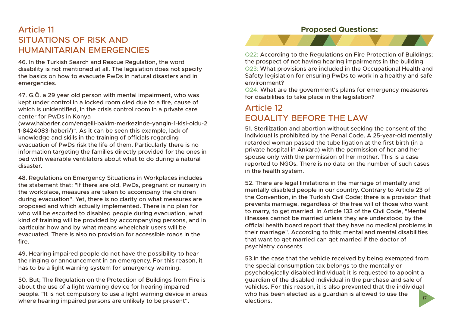### Article 11 SITUATIONS OF RISK AND HUMANITARIAN EMERGENCIES

46. In the Turkish Search and Rescue Regulation, the word disability is not mentioned at all. The legislation does not specify the basics on how to evacuate PwDs in natural disasters and in emergencies.

47. G.Ö. a 29 year old person with mental impairment, who was kept under control in a locked room died due to a fire, cause of which is unidentified, in the crisis control room in a private care center for PwDs in Konya

(www.haberler.com/engelli-bakim-merkezinde-yangin-1-kisi-oldu-2 1-8424083-haberi/)". As it can be seen this example, lack of knowledge and skills in the training of officials regarding evacuation of PwDs risk the life of them. Particularly there is no information targeting the families directly provided for the ones in bed with wearable ventilators about what to do during a natural disaster.

48. Regulations on Emergency Situations in Workplaces includes the statement that; "If there are old, PwDs, pregnant or nursery in the workplace, measures are taken to accompany the children during evacuation". Yet, there is no clarity on what measures are proposed and which actually implemented. There is no plan for who will be escorted to disabled people during evacuation, what kind of training will be provided by accompanying persons, and in particular how and by what means wheelchair users will be evacuated. There is also no provision for accessible roads in the fire.

49. Hearing impaired people do not have the possibility to hear the ringing or announcement in an emergency. For this reason, it has to be a light warning system for emergency warning.

50. But; The Regulation on the Protection of Buildings from Fire is about the use of a light warning device for hearing impaired people. "It is not compulsory to use a light warning device in areas where hearing impaired persons are unlikely to be present".

#### **Proposed Questions:**



Q22: According to the Regulations on Fire Protection of Buildings; the prospect of not having hearing impairments in the building Q23: What provisions are included in the Occupational Health and Safety legislation for ensuring PwDs to work in a healthy and safe environment?

Q24: What are the government's plans for emergency measures for disabilities to take place in the legislation?

### Article 12 EQUALITY BEFORE THE LAW

51. Sterilization and abortion without seeking the consent of the individual is prohibited by the Penal Code. A 25-year-old mentally retarded woman passed the tube ligation at the first birth (in a private hospital in Ankara) with the permission of her and her spouse only with the permission of her mother. This is a case reported to NGOs. There is no data on the number of such cases in the health system.

52. There are legal limitations in the marriage of mentally and mentally disabled people in our country. Contrary to Article 23 of the Convention, in the Turkish Civil Code; there is a provision that prevents marriage, regardless of the free will of those who want to marry, to get married. In Article 133 of the Civil Code, "Mental illnesses cannot be married unless they are understood by the official health board report that they have no medical problems in their marriage". According to this; mental and mental disabilities that want to get married can get married if the doctor of psychiatry consents.

17 53.In the case that the vehicle received by being exempted from the special consumption tax belongs to the mentally or psychologically disabled individual; it is requested to appoint a guardian of the disabled individual in the purchase and sale of vehicles. For this reason, it is also prevented that the individual who has been elected as a guardian is allowed to use the elections.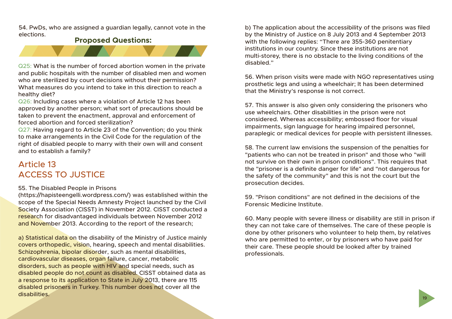54. PwDs, who are assigned a guardian legally, cannot vote in the elections.

#### **Proposed Questions:**



Q25: What is the number of forced abortion women in the private and public hospitals with the number of disabled men and women who are sterilized by court decisions without their permission? What measures do you intend to take in this direction to reach a healthy diet?

Q26: Including cases where a violation of Article 12 has been approved by another person; what sort of precautions should be taken to prevent the enactment, approval and enforcement of forced abortion and forced sterilization?

Q27: Having regard to Article 23 of the Convention; do you think to make arrangements in the Civil Code for the regulation of the right of disabled people to marry with their own will and consent and to establish a family?

### Article 13 ACCESS TO JUSTICE

#### 55. The Disabled People in Prisons

(https://hapisteengelli.wordpress.com/) was established within the scope of the Special Needs Amnesty Project launched by the Civil Society Association (CISST) in November 2012. CISST conducted a research for disadvantaged individuals between November 2012 and November 2013. According to the report of the research;

a) Statistical data on the disability of the Ministry of Justice mainly covers orthopedic, vision, hearing, speech and mental disabilities. Schizophrenia, bipolar disorder, such as mental disabilities, cardiovascular diseases, organ failure, cancer, metabolic disorders, such as people with HIV and special needs, such as disabled people do not count as disabled. CISST obtained data as a response to its application to State in July 2013, there are 115 disabled prisoners in Turkey. This number does not cover all the disabilities.

b) The application about the accessibility of the prisons was filed by the Ministry of Justice on 8 July 2013 and 4 September 2013 with the following replies: "There are 355-360 penitentiary institutions in our country. Since these institutions are not multi-storey, there is no obstacle to the living conditions of the disabled."

56. When prison visits were made with NGO representatives using prosthetic legs and using a wheelchair; It has been determined that the Ministry's response is not correct.

57. This answer is also given only considering the prisoners who use wheelchairs. Other disabilities in the prison were not considered. Whereas accessibility; embossed floor for visual impairments, sign language for hearing impaired personnel, paraplegic or medical devices for people with persistent illnesses.

58. The current law envisions the suspension of the penalties for "patients who can not be treated in prison" and those who "will not survive on their own in prison conditions". This requires that the "prisoner is a definite danger for life" and "not dangerous for the safety of the community" and this is not the court but the prosecution decides.

59. "Prison conditions" are not defined in the decisions of the Forensic Medicine Institute.

60. Many people with severe illness or disability are still in prison if they can not take care of themselves. The care of these people is done by other prisoners who volunteer to help them, by relatives who are permitted to enter, or by prisoners who have paid for their care. These people should be looked after by trained professionals.

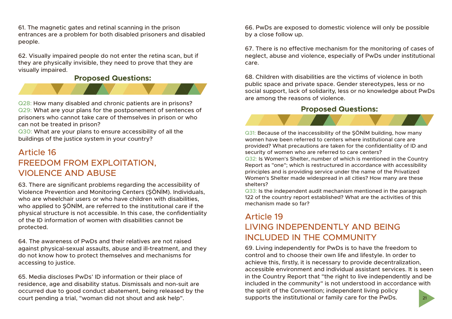61. The magnetic gates and retinal scanning in the prison entrances are a problem for both disabled prisoners and disabled people.

62. Visually impaired people do not enter the retina scan, but if they are physically invisible, they need to prove that they are visually impaired.

#### **Proposed Questions:**



Q28: How many disabled and chronic patients are in prisons? Q29: What are your plans for the postponement of sentences of prisoners who cannot take care of themselves in prison or who can not be treated in prison?

Q30: What are your plans to ensure accessibility of all the buildings of the justice system in your country?

### Article 16 FREEDOM FROM EXPLOITATION, VIOLENCE AND ABUSE

63. There are significant problems regarding the accessibility of Violence Prevention and Monitoring Centers (ŞÖNİM). Individuals, who are wheelchair users or who have children with disabilities, who applied to SÖNİM, are referred to the institutional care if the physical structure is not accessible. In this case, the confidentiality of the ID information of women with disabilities cannot be protected.

64. The awareness of PwDs and their relatives are not raised against physical-sexual assaults, abuse and ill-treatment, and they do not know how to protect themselves and mechanisms for accessing to justice.

65. Media discloses PwDs' ID information or their place of residence, age and disability status. Dismissals and non-suit are occurred due to good conduct abatement, being released by the court pending a trial, "woman did not shout and ask help".

66. PwDs are exposed to domestic violence will only be possible by a close follow up.

67. There is no effective mechanism for the monitoring of cases of neglect, abuse and violence, especially of PwDs under institutional care.

68. Children with disabilities are the victims of violence in both public space and private space. Gender stereotypes, less or no social support, lack of solidarity, less or no knowledge about PwDs are among the reasons of violence.

#### **Proposed Questions:**



Q31: Because of the inaccessibility of the ŞÖNİM building, how many women have been referred to centers where institutional care are provided? What precautions are taken for the confidentiality of ID and security of women who are referred to care centers?

Q32: Is Women's Shelter, number of which is mentioned in the Country Report as "one"; which is restructured in accordance with accessibility principles and is providing service under the name of the Privatized Women's Shelter made widespread in all cities? How many are these shelters?

Q33: Is the independent audit mechanism mentioned in the paragraph 122 of the country report established? What are the activities of this mechanism made so far?

### Article 19 LIVING INDEPENDENTLY AND BEING INCLUDED IN THE COMMUNITY

21 69. Living independently for PwDs is to have the freedom to control and to choose their own life and lifestyle. In order to achieve this, firstly, it is necessary to provide decentralization, accessible environment and individual assistant services. It is seen in the Country Report that "the right to live independently and be included in the community" is not understood in accordance with the spirit of the Convention; independent living policy supports the institutional or family care for the PwDs.

![](_page_12_Picture_20.jpeg)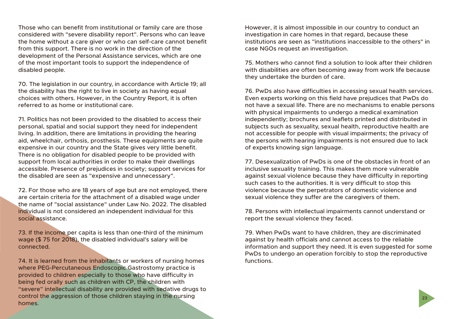Those who can benefit from institutional or family care are those considered with "severe disability report". Persons who can leave the home without a care giver or who can self-care cannot benefit from this support. There is no work in the direction of the development of the Personal Assistance services, which are one of the most important tools to support the independence of disabled people.

70. The legislation in our country, in accordance with Article 19; all the disability has the right to live in society as having equal choices with others. However, in the Country Report, it is often referred to as home or institutional care.

71. Politics has not been provided to the disabled to access their personal, spatial and social support they need for independent living. In addition, there are limitations in providing the hearing aid, wheelchair, orthosis, prosthesis. These equipments are quite expensive in our country and the State gives very little benefit. There is no obligation for disabled people to be provided with support from local authorities in order to make their dwellings accessible. Presence of prejudices in society; support services for the disabled are seen as "expensive and unnecessary".

72. For those who are 18 years of age but are not employed, there are certain criteria for the attachment of a disabled wage under the name of "social assistance" under Law No. 2022. The disabled individual is not considered an independent individual for this social assistance.

73. If the income per capita is less than one-third of the minimum wage (\$ 75 for 2018), the disabled individual's salary will be connected.

74. It is learned from the inhabitants or workers of nursing homes where PEG-Percutaneous Endoscopic Gastrostomy practice is provided to children especially to those who have difficulty in being fed orally such as children with CP, the children with "severe" intellectual disability are provided with sedative drugs to control the aggression of those children staying in the nursing homes.

However, it is almost impossible in our country to conduct an investigation in care homes in that regard, because these institutions are seen as "institutions inaccessible to the others" in case NGOs request an investigation.

75. Mothers who cannot find a solution to look after their children with disabilities are often becoming away from work life because they undertake the burden of care.

76. PwDs also have difficulties in accessing sexual health services. Even experts working on this field have prejudices that PwDs do not have a sexual life. There are no mechanisms to enable persons with physical impairments to undergo a medical examination independently; brochures and leaflets printed and distributed in subjects such as sexuality, sexual health, reproductive health are not accessible for people with visual impairments; the privacy of the persons with hearing impairments is not ensured due to lack of experts knowing sign language.

77. Desexualization of PwDs is one of the obstacles in front of an inclusive sexuality training. This makes them more vulnerable against sexual violence because they have difficulty in reporting such cases to the authorities. It is very difficult to stop this violence because the perpetrators of domestic violence and sexual violence they suffer are the caregivers of them.

78. Persons with intellectual impairments cannot understand or report the sexual violence they faced.

79. When PwDs want to have children, they are discriminated against by health officials and cannot access to the reliable information and support they need. It is even suggested for some PwDs to undergo an operation forcibly to stop the reproductive functions.

23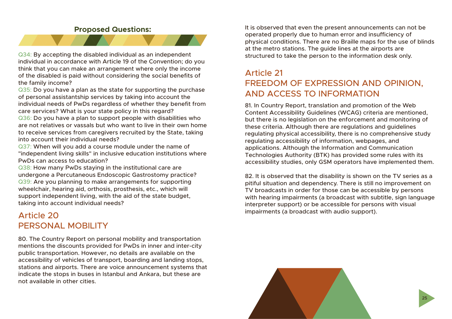#### **Proposed Questions:**

![](_page_14_Picture_1.jpeg)

Q34: By accepting the disabled individual as an independent individual in accordance with Article 19 of the Convention; do you think that you can make an arrangement where only the income of the disabled is paid without considering the social benefits of the family income?

Q35: Do you have a plan as the state for supporting the purchase of personal assistantship services by taking into account the individual needs of PwDs regardless of whether they benefit from care services? What is your state policy in this regard?

Q36: Do you have a plan to support people with disabilities who are not relatives or vassals but who want to live in their own home to receive services from caregivers recruited by the State, taking into account their individual needs?

Q37: When will you add a course module under the name of "independent living skills" in inclusive education institutions where PwDs can access to education?

Q38: How many PwDs staying in the institutional care are undergone a Percutaneous Endoscopic Gastrostomy practice? Q39: Are you planning to make arrangements for supporting wheelchair, hearing aid, orthosis, prosthesis, etc., which will support independent living, with the aid of the state budget, taking into account individual needs?

### Article 20 PERSONAL MOBILITY

80. The Country Report on personal mobility and transportation mentions the discounts provided for PwDs in inner and inter-city public transportation. However, no details are available on the accessibility of vehicles of transport, boarding and landing stops, stations and airports. There are voice announcement systems that indicate the stops in buses in Istanbul and Ankara, but these are not available in other cities.

It is observed that even the present announcements can not be operated properly due to human error and insufficiency of physical conditions. There are no Braille maps for the use of blinds at the metro stations. The guide lines at the airports are structured to take the person to the information desk only.

### Article 21 FREEDOM OF EXPRESSION AND OPINION, AND ACCESS TO INFORMATION

81. In Country Report, translation and promotion of the Web Content Accessibility Guidelines (WCAG) criteria are mentioned, but there is no legislation on the enforcement and monitoring of these criteria. Although there are regulations and guidelines regulating physical accessibility, there is no comprehensive study regulating accessibility of information, webpages, and applications. Although the Information and Communication Technologies Authority (BTK) has provided some rules with its accessibility studies, only GSM operators have implemented them.

82. It is observed that the disability is shown on the TV series as a pitiful situation and dependency. There is still no improvement on TV broadcasts in order for those can be accessible by persons with hearing impairments (a broadcast with subtitle, sign language interpreter support) or be accessible for persons with visual impairments (a broadcast with audio support).

![](_page_14_Picture_13.jpeg)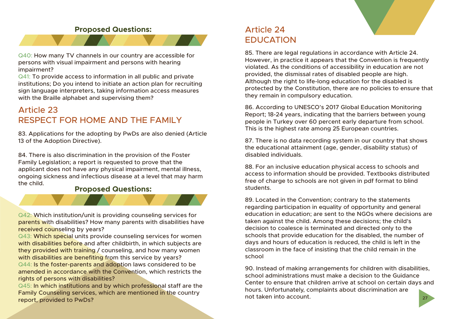![](_page_15_Picture_0.jpeg)

#### **Proposed Questions:**

![](_page_15_Picture_2.jpeg)

Q40: How many TV channels in our country are accessible for persons with visual impairment and persons with hearing impairment?

Q41: To provide access to information in all public and private institutions; Do you intend to initiate an action plan for recruiting sign language interpreters, taking information access measures with the Braille alphabet and supervising them?

### Article 23 RESPECT FOR HOME AND THE FAMILY

83. Applications for the adopting by PwDs are also denied (Article 13 of the Adoption Directive).

84. There is also discrimination in the provision of the Foster Family Legislation; a report is requested to prove that the applicant does not have any physical impairment, mental illness, ongoing sickness and infectious disease at a level that may harm the child.

#### **Proposed Questions:**

Q42: Which institution/unit is providing counseling services for parents with disabilities? How many parents with disabilities have received counseling by years?

Q43: Which special units provide counseling services for women with disabilities before and after childbirth, in which subjects are they provided with training / counseling, and how many women with disabilities are benefiting from this service by years?

Q44: Is the foster-parents and adoption laws considered to be amended in accordance with the Convention, which restricts the rights of persons with disabilities?

Q45: In which institutions and by which professional staff are the Family Counseling services, which are mentioned in the country report, provided to PwDs?

### Article 24 EDUCATION

85. There are legal regulations in accordance with Article 24. However, in practice it appears that the Convention is frequently violated. As the conditions of accessibility in education are not provided, the dismissal rates of disabled people are high. Although the right to life-long education for the disabled is protected by the Constitution, there are no policies to ensure that they remain in compulsory education.

86. According to UNESCO's 2017 Global Education Monitoring Report; 18-24 years, indicating that the barriers between young people in Turkey over 60 percent early departure from school. This is the highest rate among 25 European countries.

87. There is no data recording system in our country that shows the educational attainment (age, gender, disability status) of disabled individuals.

88. For an inclusive education physical access to schools and access to information should be provided. Textbooks distributed free of charge to schools are not given in pdf format to blind students.

89. Located in the Convention; contrary to the statements regarding participation in equality of opportunity and general education in education; are sent to the NGOs where decisions are taken against the child. Among these decisions; the child's decision to coalesce is terminated and directed only to the schools that provide education for the disabled, the number of days and hours of education is reduced, the child is left in the classroom in the face of insisting that the child remain in the school

27 90. Instead of making arrangements for children with disabilities, school administrations must make a decision to the Guidance Center to ensure that children arrive at school on certain days and hours. Unfortunately, complaints about discrimination are not taken into account.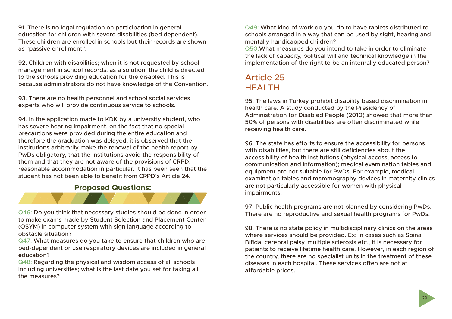91. There is no legal regulation on participation in general education for children with severe disabilities (bed dependent). These children are enrolled in schools but their records are shown as "passive enrollment".

92. Children with disabilities; when it is not requested by school management in school records, as a solution; the child is directed to the schools providing education for the disabled. This is because administrators do not have knowledge of the Convention.

93. There are no health personnel and school social services experts who will provide continuous service to schools.

94. In the application made to KDK by a university student, who has severe hearing impairment, on the fact that no special precautions were provided during the entire education and therefore the graduation was delayed, it is observed that the institutions arbitrarily make the renewal of the health report by PwDs obligatory, that the institutions avoid the responsibility of them and that they are not aware of the provisions of CRPD, reasonable accommodation in particular. It has been seen that the student has not been able to benefit from CRPD's Article 24.

#### **Proposed Questions:**

Q46: Do you think that necessary studies should be done in order to make exams made by Student Selection and Placement Center (OSYM) in computer system with sign language according to obstacle situation?

Q47: What measures do you take to ensure that children who are bed-dependent or use respiratory devices are included in general education?

Q48: Regarding the physical and wisdom access of all schools including universities; what is the last date you set for taking all the measures?

Q49: What kind of work do you do to have tablets distributed to schools arranged in a way that can be used by sight, hearing and mentally handicapped children?

Q50:What measures do you intend to take in order to eliminate the lack of capacity, political will and technical knowledge in the implementation of the right to be an internally educated person?

### Article 25 HEALTH

95. The laws in Turkey prohibit disability based discrimination in health care. A study conducted by the Presidency of Administration for Disabled People (2010) showed that more than 50% of persons with disabilities are often discriminated while receiving health care.

96. The state has efforts to ensure the accessibility for persons with disabilities, but there are still deficiencies about the accessibility of health institutions (physical access, access to communication and information); medical examination tables and equipment are not suitable for PwDs. For example, medical examination tables and mammography devices in maternity clinics are not particularly accessible for women with physical impairments.

97. Public health programs are not planned by considering PwDs. There are no reproductive and sexual health programs for PwDs.

98. There is no state policy in multidisciplinary clinics on the areas where services should be provided. Ex: In cases such as Spina Bifida, cerebral palsy, multiple sclerosis etc., it is necessary for patients to receive lifetime health care. However, in each region of the country, there are no specialist units in the treatment of these diseases in each hospital. These services often are not at affordable prices.

![](_page_16_Picture_15.jpeg)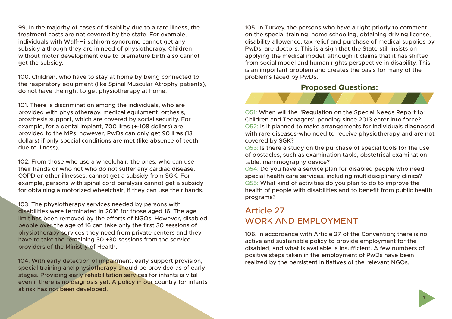99. In the majority of cases of disability due to a rare illness, the treatment costs are not covered by the state. For example, individuals with Walf-Hirschhorn syndrome cannot get any subsidy although they are in need of physiotherapy. Children without motor development due to premature birth also cannot get the subsidy.

100. Children, who have to stay at home by being connected to the respiratory equipment (like Spinal Muscular Atrophy patients), do not have the right to get physiotherapy at home.

101. There is discrimination among the individuals, who are provided with physiotherapy, medical equipment, orthesis, prosthesis support, which are covered by social security. For example, for a dental implant, 700 liras (+-108 dollars) are provided to the MPs, however, PwDs can only get 90 liras (13 dollars) if only special conditions are met (like absence of teeth due to illness).

102. From those who use a wheelchair, the ones, who can use their hands or who not who do not suffer any cardiac disease, COPD or other illnesses, cannot get a subsidy from SGK. For example, persons with spinal cord paralysis cannot get a subsidy for obtaining a motorized wheelchair, if they can use their hands.

103. The physiotherapy services needed by persons with disabilities were terminated in 2016 for those aged 16. The age limit has been removed by the efforts of NGOs. However, disabled people over the age of 16 can take only the first 30 sessions of physiotherapy services they need from private centers and they have to take the remaining 30 +30 sessions from the service providers of the Ministry of Health.

104. With early detection of impairment, early support provision, special training and physiotherapy should be provided as of early stages. Providing early rehabilitation services for infants is vital even if there is no diagnosis yet. A policy in our country for infants at risk has not been developed.

105. In Turkey, the persons who have a right priorly to comment on the special training, home schooling, obtaining driving license, disability allowence, tax relief and purchase of medical supplies by PwDs, are doctors. This is a sign that the State still insists on applying the medical model, although it claims that it has shifted from social model and human rights perspective in disability. This is an important problem and creates the basis for many of the problems faced by PwDs.

#### **Proposed Questions:**

![](_page_17_Picture_8.jpeg)

Q51: When will the "Regulation on the Special Needs Report for Children and Teenagers" pending since 2013 enter into force? Q52: Is it planned to make arrangements for individuals diagnosed with rare diseases-who need to receive physiotherapy and are not covered by SGK?

Q53: Is there a study on the purchase of special tools for the use of obstacles, such as examination table, obstetrical examination table, mammography device?

Q54: Do you have a service plan for disabled people who need special health care services, including multidisciplinary clinics? Q55: What kind of activities do you plan to do to improve the health of people with disabilities and to benefit from public health programs?

### Article 27 WORK AND EMPLOYMENT

106. In accordance with Article 27 of the Convention; there is no active and sustainable policy to provide employment for the disabled, and what is available is insufficient. A few numbers of positive steps taken in the employment of PwDs have been realized by the persistent initiatives of the relevant NGOs.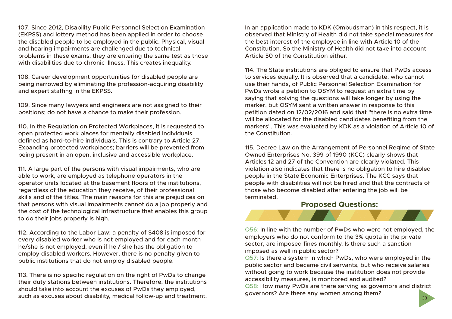107. Since 2012, Disability Public Personnel Selection Examination (EKPSS) and lottery method has been applied in order to choose the disabled people to be employed in the public. Physical, visual and hearing impairments are challenged due to technical problems in these exams; they are entering the same test as those with disabilities due to chronic illness. This creates inequality.

108. Career development opportunities for disabled people are being narrowed by eliminating the profession-acquiring disability and expert staffing in the EKPSS.

109. Since many lawyers and engineers are not assigned to their positions; do not have a chance to make their profession.

110. In the Regulation on Protected Workplaces, it is requested to open protected work places for mentally disabled individuals defined as hard-to-hire individuals. This is contrary to Article 27. Expanding protected workplaces; barriers will be prevented from being present in an open, inclusive and accessible workplace.

111. A large part of the persons with visual impairments, who are able to work, are employed as telephone operators in the operator units located at the basement floors of the institutions, regardless of the education they receive, of their professional skills and of the titles. The main reasons for this are prejudices on that persons with visual impairments cannot do a job properly and the cost of the technological infrastructure that enables this group to do their jobs properly is high.

112. According to the Labor Law; a penalty of \$408 is imposed for every disabled worker who is not employed and for each month he/she is not employed, even if he / she has the obligation to employ disabled workers. However, there is no penalty given to public institutions that do not employ disabled people.

113. There is no specific regulation on the right of PwDs to change their duty stations between institutions. Therefore, the institutions should take into account the excuses of PwDs they employed, such as excuses about disability, medical follow-up and treatment.

In an application made to KDK (Ombudsman) in this respect, it is observed that Ministry of Health did not take special measures for the best interest of the employee in line with Article 10 of the Constitution. So the Ministry of Health did not take into account Article 50 of the Constitution either.

114. The State institutions are obliged to ensure that PwDs access to services equally. It is observed that a candidate, who cannot use their hands, of Public Personnel Selection Examination for PwDs wrote a petition to OSYM to request an extra time by saying that solving the questions will take longer by using the marker, but OSYM sent a written answer in response to this petition dated on 12/02/2016 and said that "there is no extra time will be allocated for the disabled candidates benefiting from the markers". This was evaluated by KDK as a violation of Article 10 of the Constitution.

115. Decree Law on the Arrangement of Personnel Regime of State Owned Enterprises No. 399 of 1990 (KCC) clearly shows that Articles 12 and 27 of the Convention are clearly violated. This violation also indicates that there is no obligation to hire disabled people in the State Economic Enterprises. The KCC says that people with disabilities will not be hired and that the contracts of those who become disabled after entering the job will be terminated.

#### **Proposed Questions:**

Q56: In line with the number of PwDs who were not employed, the employers who do not conform to the 3% quota in the private sector, are imposed fines monthly. Is there such a sanction imposed as well in public sector?

Q57: Is there a system in which PwDs, who were employed in the public sector and became civil servants, but who receive salaries without going to work because the institution does not provide accessibility measures, is monitored and audited?

Q58: How many PwDs are there serving as governors and district governors? Are there any women among them?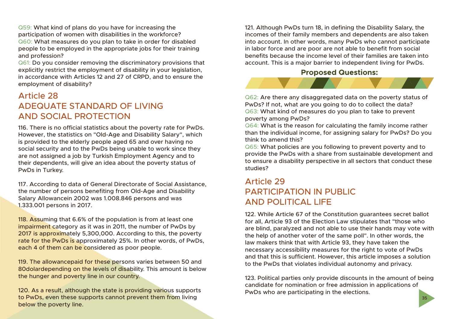Q59: What kind of plans do you have for increasing the participation of women with disabilities in the workforce? Q60: What measures do you plan to take in order for disabled people to be employed in the appropriate jobs for their training and profession?

Q61: Do you consider removing the discriminatory provisions that explicitly restrict the employment of disability in your legislation, in accordance with Articles 12 and 27 of CRPD, and to ensure the employment of disability?

### Article 28 ADEQUATE STANDARD OF LIVING AND SOCIAL PROTECTION

116. There is no official statistics about the poverty rate for PwDs. However, the statistics on "Old-Age and Disability Salary", which is provided to the elderly people aged 65 and over having no social security and to the PwDs being unable to work since they are not assigned a job by Turkish Employment Agency and to their dependents, will give an idea about the poverty status of PwDs in Turkey.

117. According to data of General Directorate of Social Assistance, the number of persons benefiting from Old-Age and Disability Salary Allowancein 2002 was 1.008.846 persons and was 1.333.001 persons in 2017.

118. Assuming that 6.6% of the population is from at least one impairment category as it was in 2011, the number of PwDs by 2017 is approximately 5,300,000. According to this, the poverty rate for the PwDs is approximately 25%. In other words, of PwDs, each 4 of them can be considered as poor people.

119. The allowancepaid for these persons varies between 50 and 80dolardepending on the levels of disability. This amount is below the hunger and poverty line in our country.

120. As a result, although the state is providing various supports to PwDs, even these supports cannot prevent them from living below the poverty line.

121. Although PwDs turn 18, in defining the Disability Salary, the incomes of their family members and dependents are also taken into account. In other words, many PwDs who cannot participate in labor force and are poor are not able to benefit from social benefits because the income level of their families are taken into account. This is a major barrier to independent living for PwDs.

#### **Proposed Questions:**

![](_page_19_Picture_10.jpeg)

Q62: Are there any disaggregated data on the poverty status of PwDs? If not, what are you going to do to collect the data? Q63: What kind of measures do you plan to take to prevent poverty among PwDs?

Q64: What is the reason for calculating the family income rather than the individual income, for assigning salary for PwDs? Do you think to amend this?

Q65: What policies are you following to prevent poverty and to provide the PwDs with a share from sustainable development and to ensure a disability perspective in all sectors that conduct these studies?

### Article 29 PARTICIPATION IN PUBLIC AND POLITICAL LIFE

122. While Article 67 of the Constitution guarantees secret ballot for all, Article 93 of the Election Law stipulates that "those who are blind, paralyzed and not able to use their hands may vote with the help of another voter of the same poll". In other words, the law makers think that with Article 93, they have taken the necessary accessibility measures for the right to vote of PwDs and that this is sufficient. However, this article imposes a solution to the PwDs that violates individual autonomy and privacy.

123. Political parties only provide discounts in the amount of being candidate for nomination or free admission in applications of PwDs who are participating in the elections.

35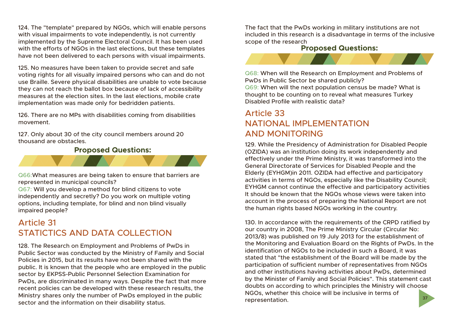124. The "template" prepared by NGOs, which will enable persons with visual impairments to vote independently, is not currently implemented by the Supreme Electoral Council. It has been used with the efforts of NGOs in the last elections, but these templates have not been delivered to each persons with visual impairments.

125. No measures have been taken to provide secret and safe voting rights for all visually impaired persons who can and do not use Braille. Severe physical disabilities are unable to vote because they can not reach the ballot box because of lack of accessibility measures at the election sites. In the last elections, mobile crate implementation was made only for bedridden patients.

126. There are no MPs with disabilities coming from disabilities movement.

127. Only about 30 of the city council members around 20 thousand are obstacles.

#### **Proposed Questions:**

Q66:What measures are being taken to ensure that barriers are represented in municipal councils?

Q67: Will you develop a method for blind citizens to vote independently and secretly? Do you work on multiple voting options, including template, for blind and non blind visually impaired people?

### Article 31 STATICTICS AND DATA COLLECTION

128. The Research on Employment and Problems of PwDs in Public Sector was conducted by the Ministry of Family and Social Policies in 2015, but its results have not been shared with the public. It is known that the people who are employed in the public sector by EKPSS-Public Personnel Selection Examination for PwDs, are discriminated in many ways. Despite the fact that more recent policies can be developed with these research results, the Ministry shares only the number of PwDs employed in the public sector and the information on their disability status.

The fact that the PwDs working in military institutions are not included in this research is a disadvantage in terms of the inclusive scope of the research

#### **Proposed Questions:**

![](_page_20_Picture_11.jpeg)

Q68: When will the Research on Employment and Problems of PwDs in Public Sector be shared publicly?

Q69: When will the next population census be made? What is thought to be counting on to reveal what measures Turkey Disabled Profile with realistic data?

### Article 33 NATIONAL IMPLEMENTATION AND MONITORING

129. While the Presidency of Administration for Disabled People (OZIDA) was an institution doing its work independently and effectively under the Prime Ministry, it was transformed into the General Directorate of Services for Disabled People and the Elderly (EYHGM)in 2011. OZIDA had effective and participatory activities in terms of NGOs, especially like the Disability Council; EYHGM cannot continue the effective and participatory activities It should be known that the NGOs whose views were taken into account in the process of preparing the National Report are not the human rights based NGOs working in the country.

37 130. In accordance with the requirements of the CRPD ratified by our country in 2008, The Prime Ministry Circular (Circular No: 2013/8) was published on 19 July 2013 for the establishment of the Monitoring and Evaluation Board on the Rights of PwDs. In the identification of NGOs to be included in such a Board, it was stated that "the establishment of the Board will be made by the participation of sufficient number of representatives from NGOs and other institutions having activities about PwDs, determined by the Minister of Family and Social Policies". This statement cast doubts on according to which principles the Ministry will choose NGOs, whether this choice will be inclusive in terms of representation.